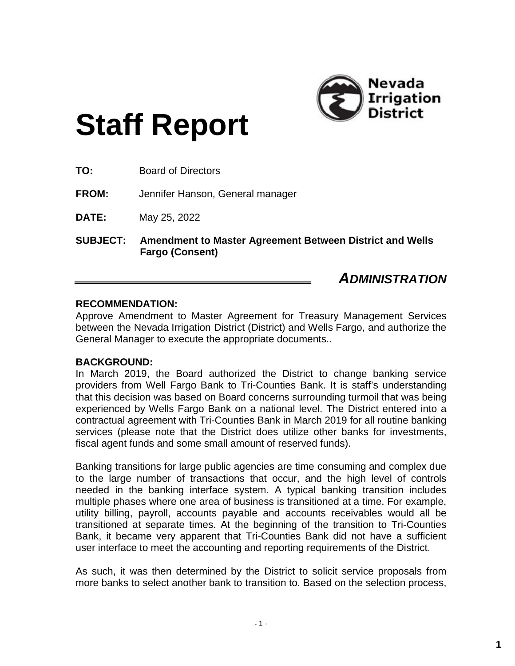

# **Staff Report**

**TO:** Board of Directors

**FROM:** Jennifer Hanson, General manager

**DATE:** May 25, 2022

**SUBJECT: Amendment to Master Agreement Between District and Wells Fargo (Consent)**

### *ADMINISTRATION*

#### **RECOMMENDATION:**

Approve Amendment to Master Agreement for Treasury Management Services between the Nevada Irrigation District (District) and Wells Fargo, and authorize the General Manager to execute the appropriate documents..

#### **BACKGROUND:**

In March 2019, the Board authorized the District to change banking service providers from Well Fargo Bank to Tri-Counties Bank. It is staff's understanding that this decision was based on Board concerns surrounding turmoil that was being experienced by Wells Fargo Bank on a national level. The District entered into a contractual agreement with Tri-Counties Bank in March 2019 for all routine banking services (please note that the District does utilize other banks for investments, fiscal agent funds and some small amount of reserved funds).

Banking transitions for large public agencies are time consuming and complex due to the large number of transactions that occur, and the high level of controls needed in the banking interface system. A typical banking transition includes multiple phases where one area of business is transitioned at a time. For example, utility billing, payroll, accounts payable and accounts receivables would all be transitioned at separate times. At the beginning of the transition to Tri-Counties Bank, it became very apparent that Tri-Counties Bank did not have a sufficient user interface to meet the accounting and reporting requirements of the District.

As such, it was then determined by the District to solicit service proposals from more banks to select another bank to transition to. Based on the selection process,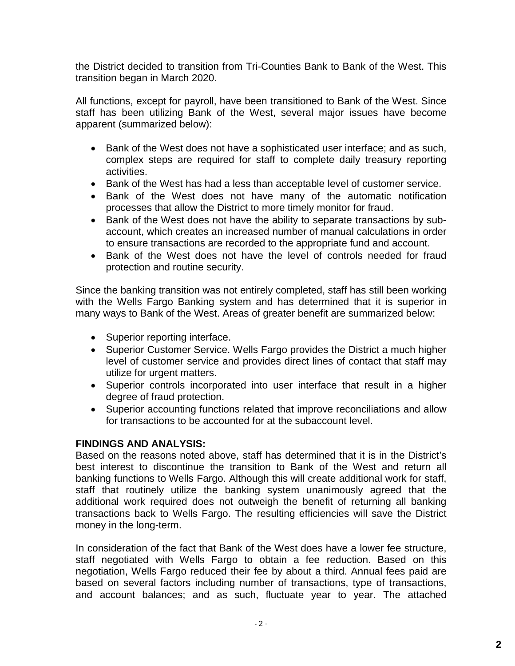the District decided to transition from Tri-Counties Bank to Bank of the West. This transition began in March 2020.

All functions, except for payroll, have been transitioned to Bank of the West. Since staff has been utilizing Bank of the West, several major issues have become apparent (summarized below):

- Bank of the West does not have a sophisticated user interface; and as such, complex steps are required for staff to complete daily treasury reporting activities.
- Bank of the West has had a less than acceptable level of customer service.
- Bank of the West does not have many of the automatic notification processes that allow the District to more timely monitor for fraud.
- Bank of the West does not have the ability to separate transactions by subaccount, which creates an increased number of manual calculations in order to ensure transactions are recorded to the appropriate fund and account.
- Bank of the West does not have the level of controls needed for fraud protection and routine security.

Since the banking transition was not entirely completed, staff has still been working with the Wells Fargo Banking system and has determined that it is superior in many ways to Bank of the West. Areas of greater benefit are summarized below:

- Superior reporting interface.
- Superior Customer Service. Wells Fargo provides the District a much higher level of customer service and provides direct lines of contact that staff may utilize for urgent matters.
- Superior controls incorporated into user interface that result in a higher degree of fraud protection.
- Superior accounting functions related that improve reconciliations and allow for transactions to be accounted for at the subaccount level.

#### **FINDINGS AND ANALYSIS:**

Based on the reasons noted above, staff has determined that it is in the District's best interest to discontinue the transition to Bank of the West and return all banking functions to Wells Fargo. Although this will create additional work for staff, staff that routinely utilize the banking system unanimously agreed that the additional work required does not outweigh the benefit of returning all banking transactions back to Wells Fargo. The resulting efficiencies will save the District money in the long-term.

In consideration of the fact that Bank of the West does have a lower fee structure, staff negotiated with Wells Fargo to obtain a fee reduction. Based on this negotiation, Wells Fargo reduced their fee by about a third. Annual fees paid are based on several factors including number of transactions, type of transactions, and account balances; and as such, fluctuate year to year. The attached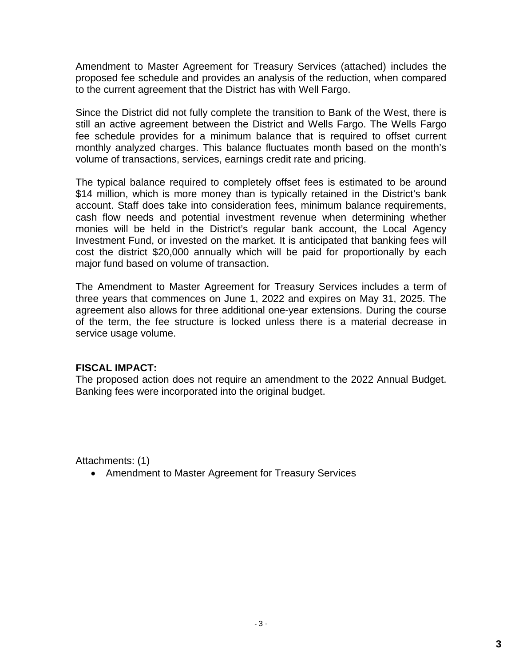Amendment to Master Agreement for Treasury Services (attached) includes the proposed fee schedule and provides an analysis of the reduction, when compared to the current agreement that the District has with Well Fargo.

Since the District did not fully complete the transition to Bank of the West, there is still an active agreement between the District and Wells Fargo. The Wells Fargo fee schedule provides for a minimum balance that is required to offset current monthly analyzed charges. This balance fluctuates month based on the month's volume of transactions, services, earnings credit rate and pricing.

The typical balance required to completely offset fees is estimated to be around \$14 million, which is more money than is typically retained in the District's bank account. Staff does take into consideration fees, minimum balance requirements, cash flow needs and potential investment revenue when determining whether monies will be held in the District's regular bank account, the Local Agency Investment Fund, or invested on the market. It is anticipated that banking fees will cost the district \$20,000 annually which will be paid for proportionally by each major fund based on volume of transaction.

The Amendment to Master Agreement for Treasury Services includes a term of three years that commences on June 1, 2022 and expires on May 31, 2025. The agreement also allows for three additional one-year extensions. During the course of the term, the fee structure is locked unless there is a material decrease in service usage volume.

#### **FISCAL IMPACT:**

The proposed action does not require an amendment to the 2022 Annual Budget. Banking fees were incorporated into the original budget.

Attachments: (1)

Amendment to Master Agreement for Treasury Services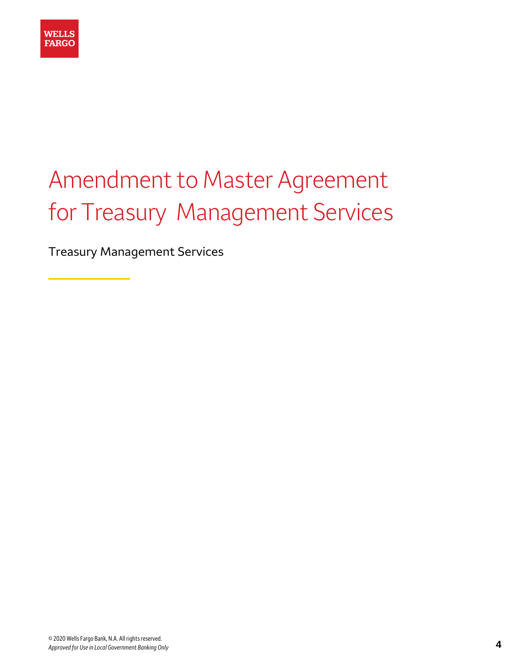

## Amendment to Master Agreement for Treasury Management Services

Treasury Management Services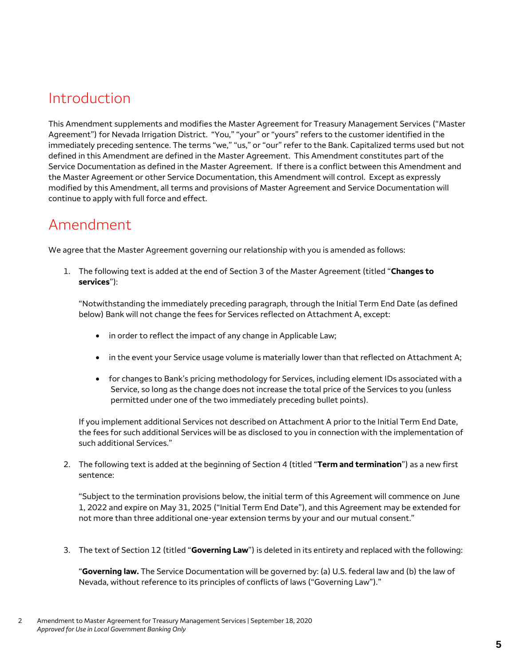### Introduction

This Amendment supplements and modifies the Master Agreement for Treasury Management Services ("Master Agreement") for Nevada Irrigation District. "You," "your" or "yours" refers to the customer identified in the immediately preceding sentence. The terms "we," "us," or "our" refer to the Bank. Capitalized terms used but not defined in this Amendment are defined in the Master Agreement. This Amendment constitutes part of the Service Documentation as defined in the Master Agreement. If there is a conflict between this Amendment and the Master Agreement or other Service Documentation, this Amendment will control. Except as expressly modified by this Amendment, all terms and provisions of Master Agreement and Service Documentation will continue to apply with full force and effect.

### Amendment

We agree that the Master Agreement governing our relationship with you is amended as follows:

1. The following text is added at the end of Section 3 of the Master Agreement (titled "**Changes to services**"):

"Notwithstanding the immediately preceding paragraph, through the Initial Term End Date (as defined below) Bank will not change the fees for Services reflected on Attachment A, except:

- in order to reflect the impact of any change in Applicable Law;
- in the event your Service usage volume is materially lower than that reflected on Attachment A;
- for changes to Bank's pricing methodology for Services, including element IDs associated with a Service, so long as the change does not increase the total price of the Services to you (unless permitted under one of the two immediately preceding bullet points).

If you implement additional Services not described on Attachment A prior to the Initial Term End Date, the fees for such additional Services will be as disclosed to you in connection with the implementation of such additional Services."

2. The following text is added at the beginning of Section 4 (titled "**Term and termination**") as a new first sentence:

"Subject to the termination provisions below, the initial term of this Agreement will commence on June 1, 2022 and expire on May 31, 2025 ("Initial Term End Date"), and this Agreement may be extended for not more than three additional one-year extension terms by your and our mutual consent."

3. The text of Section 12 (titled "**Governing Law**") is deleted in its entirety and replaced with the following:

"**Governing law.** The Service Documentation will be governed by: (a) U.S. federal law and (b) the law of Nevada, without reference to its principles of conflicts of laws ("Governing Law")."

2 Amendment to Master Agreement for Treasury Management Services | September 18, 2020 *Approved for Use in Local Government Banking Only*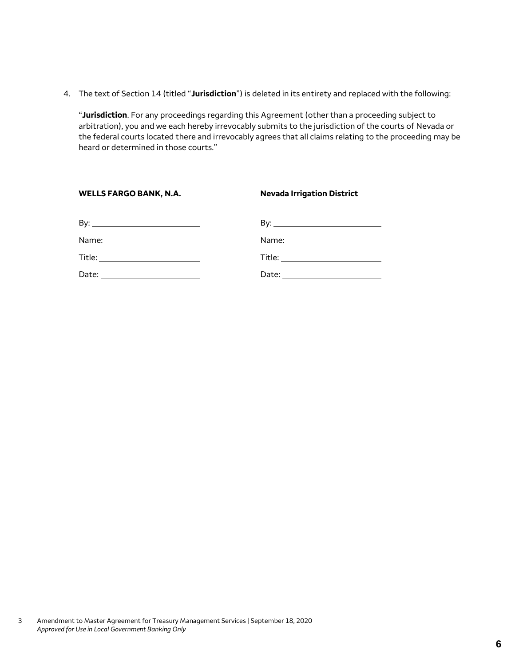4. The text of Section 14 (titled "**Jurisdiction**") is deleted in its entirety and replaced with the following:

"**Jurisdiction**. For any proceedings regarding this Agreement (other than a proceeding subject to arbitration), you and we each hereby irrevocably submits to the jurisdiction of the courts of Nevada or the federal courts located there and irrevocably agrees that all claims relating to the proceeding may be heard or determined in those courts."

| <b>WELLS FARGO BANK, N.A.</b>    | <b>Nevada Irrigation District</b> |  |  |  |
|----------------------------------|-----------------------------------|--|--|--|
|                                  |                                   |  |  |  |
| Name: __________________________ | Name: __________________________  |  |  |  |
|                                  |                                   |  |  |  |
| Date: $\qquad \qquad$            | Date: $\qquad \qquad$             |  |  |  |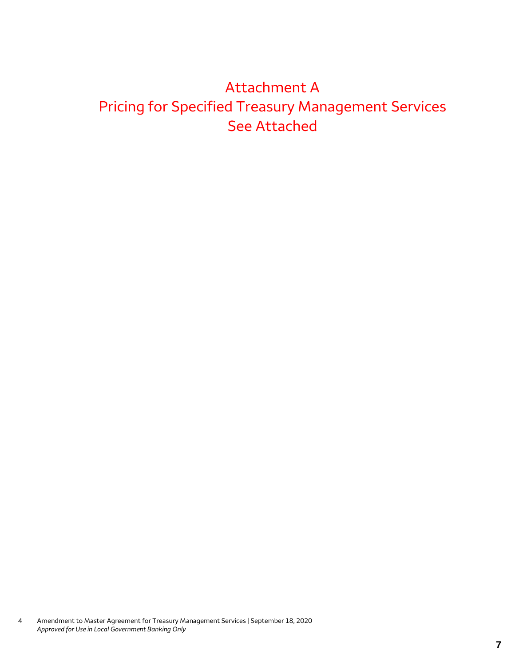## Attachment A Pricing for Specified Treasury Management Services See Attached

4 Amendment to Master Agreement for Treasury Management Services | September 18, 2020 *Approved for Use in Local Government Banking Only*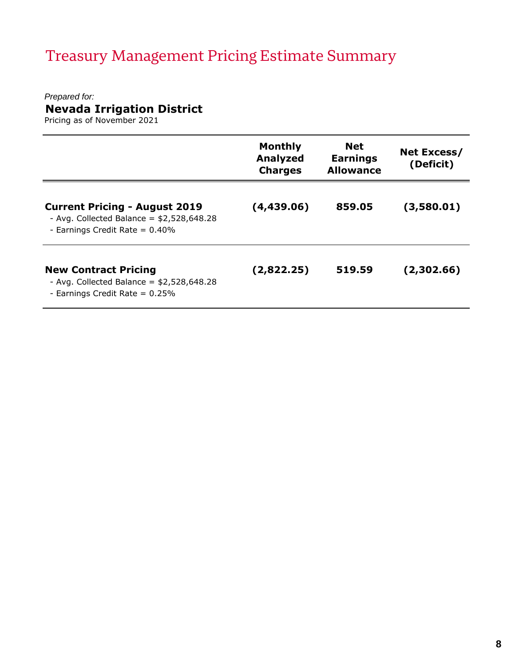## Treasury Management Pricing Estimate Summary

#### *Prepared for:*

**Nevada Irrigation District**

Pricing as of November 2021

|                                                                                                                         | <b>Monthly</b><br><b>Analyzed</b><br><b>Charges</b> | <b>Net</b><br><b>Earnings</b><br><b>Allowance</b> | Net Excess/<br>(Deficit) |
|-------------------------------------------------------------------------------------------------------------------------|-----------------------------------------------------|---------------------------------------------------|--------------------------|
| <b>Current Pricing - August 2019</b><br>- Avg. Collected Balance = $$2,528,648.28$<br>- Earnings Credit Rate = $0.40\%$ | (4,439.06)                                          | 859.05                                            | (3,580.01)               |
| <b>New Contract Pricing</b><br>- Avg. Collected Balance = $$2,528,648.28$<br>- Earnings Credit Rate = $0.25\%$          | (2,822.25)                                          | 519.59                                            | (2,302.66)               |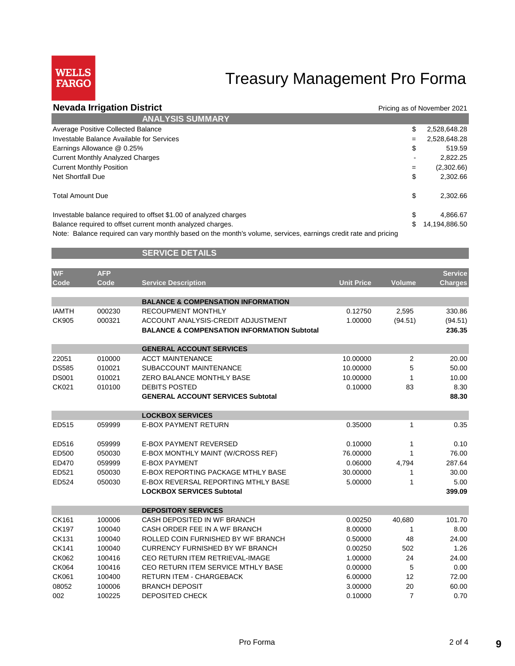

## Treasury Management Pro Forma

#### **Nevada Irrigation District Pricing as of November 2021** Pricing as of November 2021

| <b>ANALYSIS SUMMARY</b>                                                                                         |     |               |
|-----------------------------------------------------------------------------------------------------------------|-----|---------------|
| Average Positive Collected Balance                                                                              | \$  | 2,528,648.28  |
| Investable Balance Available for Services                                                                       | $=$ | 2,528,648.28  |
| Earnings Allowance @ 0.25%                                                                                      | \$  | 519.59        |
| <b>Current Monthly Analyzed Charges</b>                                                                         |     | 2,822.25      |
| <b>Current Monthly Position</b>                                                                                 |     | (2,302.66)    |
| <b>Net Shortfall Due</b>                                                                                        | \$  | 2,302.66      |
| <b>Total Amount Due</b>                                                                                         | \$  | 2,302.66      |
| Investable balance required to offset \$1.00 of analyzed charges                                                | \$  | 4,866.67      |
| Balance required to offset current month analyzed charges.                                                      |     | 14,194,886.50 |
| Note: Balance required can vary monthly based on the month's volume, services, earnings credit rate and pricing |     |               |

#### **SERVICE DETAILS**

| <b>WF</b>    | <b>AFP</b> |                                                        |                   |                | <b>Service</b> |
|--------------|------------|--------------------------------------------------------|-------------------|----------------|----------------|
| Code         | Code       | <b>Service Description</b>                             | <b>Unit Price</b> | <b>Volume</b>  | <b>Charges</b> |
|              |            |                                                        |                   |                |                |
|              |            | <b>BALANCE &amp; COMPENSATION INFORMATION</b>          |                   |                |                |
| <b>IAMTH</b> | 000230     | <b>RECOUPMENT MONTHLY</b>                              | 0.12750           | 2,595          | 330.86         |
| <b>CK905</b> | 000321     | ACCOUNT ANALYSIS-CREDIT ADJUSTMENT                     | 1.00000           | (94.51)        | (94.51)        |
|              |            | <b>BALANCE &amp; COMPENSATION INFORMATION Subtotal</b> |                   |                | 236.35         |
|              |            | <b>GENERAL ACCOUNT SERVICES</b>                        |                   |                |                |
| 22051        | 010000     | <b>ACCT MAINTENANCE</b>                                | 10.00000          | $\overline{2}$ | 20.00          |
| <b>DS585</b> | 010021     | SUBACCOUNT MAINTENANCE                                 | 10.00000          | 5              | 50.00          |
| <b>DS001</b> | 010021     | ZERO BALANCE MONTHLY BASE                              | 10.00000          | 1              | 10.00          |
| CK021        | 010100     | <b>DEBITS POSTED</b>                                   | 0.10000           | 83             | 8.30           |
|              |            | <b>GENERAL ACCOUNT SERVICES Subtotal</b>               |                   |                | 88.30          |
|              |            | <b>LOCKBOX SERVICES</b>                                |                   |                |                |
| ED515        | 059999     | <b>E-BOX PAYMENT RETURN</b>                            | 0.35000           | 1              | 0.35           |
| ED516        | 059999     | <b>E-BOX PAYMENT REVERSED</b>                          | 0.10000           | 1              | 0.10           |
| ED500        | 050030     | E-BOX MONTHLY MAINT (W/CROSS REF)                      | 76.00000          | 1              | 76.00          |
| ED470        | 059999     | <b>E-BOX PAYMENT</b>                                   | 0.06000           | 4,794          | 287.64         |
| ED521        | 050030     | E-BOX REPORTING PACKAGE MTHLY BASE                     | 30.00000          | 1              | 30.00          |
| ED524        | 050030     | E-BOX REVERSAL REPORTING MTHLY BASE                    | 5.00000           | 1              | 5.00           |
|              |            | <b>LOCKBOX SERVICES Subtotal</b>                       |                   |                | 399.09         |
|              |            | <b>DEPOSITORY SERVICES</b>                             |                   |                |                |
| CK161        | 100006     | CASH DEPOSITED IN WF BRANCH                            | 0.00250           | 40,680         | 101.70         |
| CK197        | 100040     | CASH ORDER FEE IN A WF BRANCH                          | 8.00000           | 1              | 8.00           |
| CK131        | 100040     | ROLLED COIN FURNISHED BY WF BRANCH                     | 0.50000           | 48             | 24.00          |
| CK141        | 100040     | CURRENCY FURNISHED BY WF BRANCH                        | 0.00250           | 502            | 1.26           |
| CK062        | 100416     | CEO RETURN ITEM RETRIEVAL-IMAGE                        | 1.00000           | 24             | 24.00          |
| CK064        | 100416     | CEO RETURN ITEM SERVICE MTHLY BASE                     | 0.00000           | 5              | 0.00           |
| CK061        | 100400     | RETURN ITEM - CHARGEBACK                               | 6.00000           | 12             | 72.00          |
| 08052        | 100006     | <b>BRANCH DEPOSIT</b>                                  | 3.00000           | 20             | 60.00          |
| 002          | 100225     | <b>DEPOSITED CHECK</b>                                 | 0.10000           | $\overline{7}$ | 0.70           |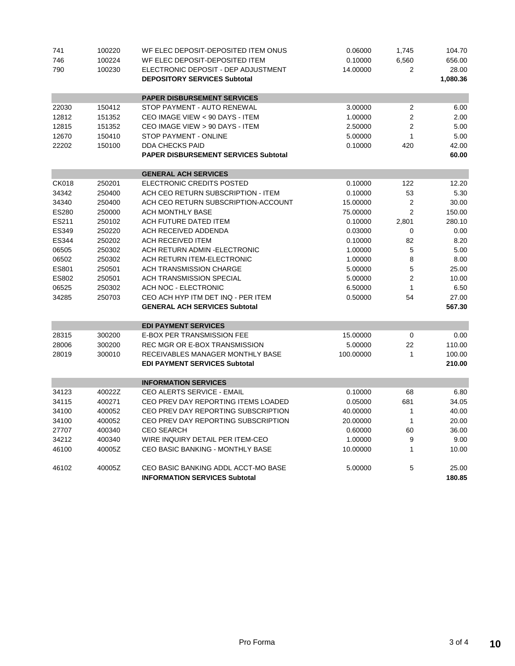| 741   | 100220 | WF ELEC DEPOSIT-DEPOSITED ITEM ONUS         | 0.06000   | 1,745          | 104.70   |
|-------|--------|---------------------------------------------|-----------|----------------|----------|
| 746   | 100224 | WF ELEC DEPOSIT-DEPOSITED ITEM              | 0.10000   | 6,560          | 656.00   |
| 790   | 100230 | ELECTRONIC DEPOSIT - DEP ADJUSTMENT         | 14.00000  | 2              | 28.00    |
|       |        | <b>DEPOSITORY SERVICES Subtotal</b>         |           |                | 1,080.36 |
|       |        |                                             |           |                |          |
|       |        | <b>PAPER DISBURSEMENT SERVICES</b>          |           |                |          |
| 22030 | 150412 | STOP PAYMENT - AUTO RENEWAL                 | 3.00000   | 2              | 6.00     |
| 12812 | 151352 | CEO IMAGE VIEW < 90 DAYS - ITEM             | 1.00000   | $\overline{2}$ | 2.00     |
| 12815 | 151352 | CEO IMAGE VIEW > 90 DAYS - ITEM             | 2.50000   | $\overline{c}$ | 5.00     |
| 12670 | 150410 | STOP PAYMENT - ONLINE                       | 5.00000   | 1              | 5.00     |
| 22202 | 150100 | <b>DDA CHECKS PAID</b>                      | 0.10000   | 420            | 42.00    |
|       |        | <b>PAPER DISBURSEMENT SERVICES Subtotal</b> |           |                | 60.00    |
|       |        | <b>GENERAL ACH SERVICES</b>                 |           |                |          |
| CK018 | 250201 | ELECTRONIC CREDITS POSTED                   | 0.10000   | 122            | 12.20    |
| 34342 | 250400 | ACH CEO RETURN SUBSCRIPTION - ITEM          | 0.10000   | 53             | 5.30     |
| 34340 | 250400 | ACH CEO RETURN SUBSCRIPTION-ACCOUNT         | 15.00000  | $\sqrt{2}$     | 30.00    |
| ES280 | 250000 | ACH MONTHLY BASE                            | 75.00000  | $\overline{2}$ | 150.00   |
| ES211 | 250102 | ACH FUTURE DATED ITEM                       | 0.10000   | 2,801          | 280.10   |
| ES349 | 250220 | ACH RECEIVED ADDENDA                        | 0.03000   | 0              | 0.00     |
| ES344 | 250202 | <b>ACH RECEIVED ITEM</b>                    | 0.10000   | 82             | 8.20     |
| 06505 | 250302 | ACH RETURN ADMIN - ELECTRONIC               | 1.00000   | 5              | 5.00     |
|       | 250302 | ACH RETURN ITEM-ELECTRONIC                  |           | 8              |          |
| 06502 |        |                                             | 1.00000   |                | 8.00     |
| ES801 | 250501 | <b>ACH TRANSMISSION CHARGE</b>              | 5.00000   | 5              | 25.00    |
| ES802 | 250501 | ACH TRANSMISSION SPECIAL                    | 5.00000   | $\overline{2}$ | 10.00    |
| 06525 | 250302 | <b>ACH NOC - ELECTRONIC</b>                 | 6.50000   | $\mathbf{1}$   | 6.50     |
| 34285 | 250703 | CEO ACH HYP ITM DET INQ - PER ITEM          | 0.50000   | 54             | 27.00    |
|       |        | <b>GENERAL ACH SERVICES Subtotal</b>        |           |                | 567.30   |
|       |        | <b>EDI PAYMENT SERVICES</b>                 |           |                |          |
| 28315 | 300200 | <b>E-BOX PER TRANSMISSION FEE</b>           | 15.00000  | 0              | 0.00     |
| 28006 | 300200 | REC MGR OR E-BOX TRANSMISSION               | 5.00000   | 22             | 110.00   |
| 28019 | 300010 | RECEIVABLES MANAGER MONTHLY BASE            | 100.00000 | $\mathbf{1}$   | 100.00   |
|       |        | <b>EDI PAYMENT SERVICES Subtotal</b>        |           |                | 210.00   |
|       |        | <b>INFORMATION SERVICES</b>                 |           |                |          |
| 34123 | 40022Z | CEO ALERTS SERVICE - EMAIL                  | 0.10000   | 68             | 6.80     |
| 34115 | 400271 | CEO PREV DAY REPORTING ITEMS LOADED         | 0.05000   | 681            | 34.05    |
| 34100 | 400052 | CEO PREV DAY REPORTING SUBSCRIPTION         | 40.00000  | $\mathbf{1}$   | 40.00    |
| 34100 | 400052 | CEO PREV DAY REPORTING SUBSCRIPTION         | 20.00000  | 1              | 20.00    |
| 27707 | 400340 | <b>CEO SEARCH</b>                           | 0.60000   | 60             | 36.00    |
| 34212 | 400340 | WIRE INQUIRY DETAIL PER ITEM-CEO            | 1.00000   | 9              | 9.00     |
| 46100 | 40005Z | CEO BASIC BANKING - MONTHLY BASE            | 10.00000  | $\mathbf{1}$   | 10.00    |
|       |        |                                             |           |                |          |
| 46102 | 40005Z | CEO BASIC BANKING ADDL ACCT-MO BASE         | 5.00000   | 5              | 25.00    |
|       |        | <b>INFORMATION SERVICES Subtotal</b>        |           |                | 180.85   |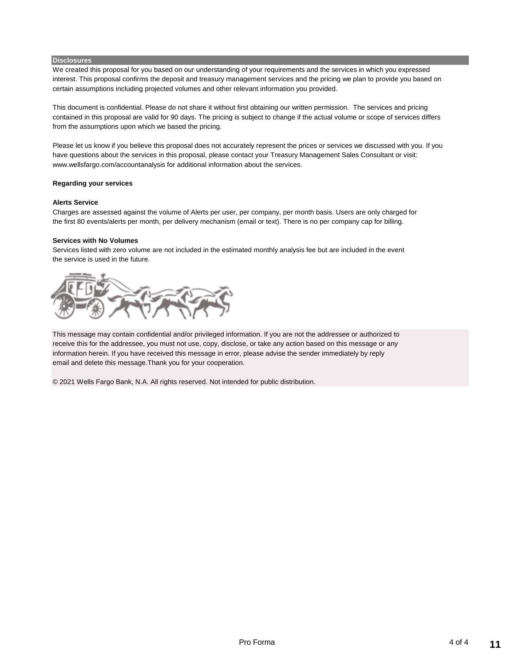#### **Disclosures**

We created this proposal for you based on our understanding of your requirements and the services in which you expressed interest. This proposal confirms the deposit and treasury management services and the pricing we plan to provide you based on certain assumptions including projected volumes and other relevant information you provided.

This document is confidential. Please do not share it without first obtaining our written permission. The services and pricing contained in this proposal are valid for 90 days. The pricing is subject to change if the actual volume or scope of services differs from the assumptions upon which we based the pricing.

Please let us know if you believe this proposal does not accurately represent the prices or services we discussed with you. If you have questions about the services in this proposal, please contact your Treasury Management Sales Consultant or visit: www.wellsfargo.com/accountanalysis for additional information about the services.

#### **Regarding your services**

#### **Alerts Service**

Charges are assessed against the volume of Alerts per user, per company, per month basis. Users are only charged for the first 80 events/alerts per month, per delivery mechanism (email or text). There is no per company cap for billing.

#### **Services with No Volumes**

Services listed with zero volume are not included in the estimated monthly analysis fee but are included in the event the service is used in the future.



This message may contain confidential and/or privileged information. If you are not the addressee or authorized to receive this for the addressee, you must not use, copy, disclose, or take any action based on this message or any information herein. If you have received this message in error, please advise the sender immediately by reply email and delete this message.Thank you for your cooperation.

© 2021 Wells Fargo Bank, N.A. All rights reserved. Not intended for public distribution.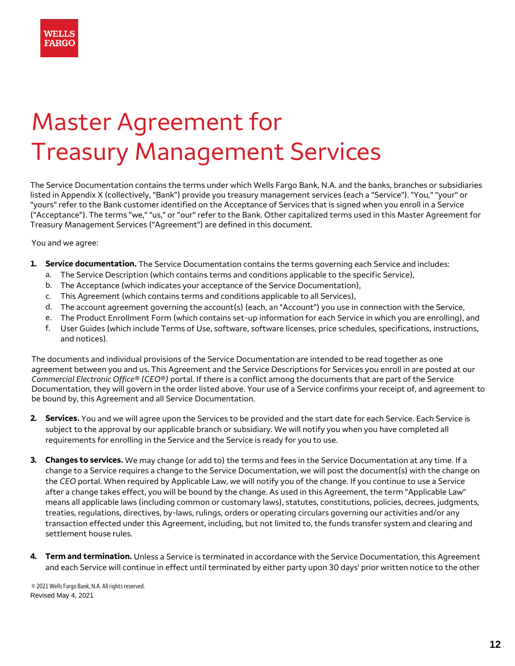

## Master Agreement for Treasury Management Services

The Service Documentation contains the terms under which Wells Fargo Bank, N.A. and the banks, branches or subsidiaries listed in Appendix X (collectively, "Bank") provide you treasury management services (each a "Service"). "You," "your" or "yours" refer to the Bank customer identified on the Acceptance of Services that is signed when you enroll in a Service ("Acceptance"). The terms "we," "us," or "our" refer to the Bank. Other capitalized terms used in this Master Agreement for Treasury Management Services ("Agreement") are defined in this document.

You and we agree:

- **1. Service documentation.** The Service Documentation contains the terms governing each Service and includes:
	- a. The Service Description (which contains terms and conditions applicable to the specific Service),
	- b. The Acceptance (which indicates your acceptance of the Service Documentation),
	- c. This Agreement (which contains terms and conditions applicable to all Services),
	- d. The account agreement governing the account(s) (each, an "Account") you use in connection with the Service,
	- e. The Product Enrollment Form (which contains set-up information for each Service in which you are enrolling), and
	- f. User Guides (which include Terms of Use, software, software licenses, price schedules, specifications, instructions, and notices).

The documents and individual provisions of the Service Documentation are intended to be read together as one agreement between you and us. This Agreement and the Service Descriptions for Services you enroll in are posted at our *Commercial Electronic Office® (CEO®)* portal. If there is a conflict among the documents that are part of the Service Documentation, they will govern in the order listed above. Your use of a Service confirms your receipt of, and agreement to be bound by, this Agreement and all Service Documentation.

- **2. Services.** You and we will agree upon the Services to be provided and the start date for each Service. Each Service is subject to the approval by our applicable branch or subsidiary. We will notify you when you have completed all requirements for enrolling in the Service and the Service is ready for you to use.
- **3. Changes to services.** We may change (or add to) the terms and fees in the Service Documentation at any time. If a change to a Service requires a change to the Service Documentation, we will post the document(s) with the change on the *CEO* portal. When required by Applicable Law, we will notify you of the change. If you continue to use a Service after a change takes effect, you will be bound by the change. As used in this Agreement, the term "Applicable Law" means all applicable laws (including common or customary laws), statutes, constitutions, policies, decrees, judgments, treaties, regulations, directives, by-laws, rulings, orders or operating circulars governing our activities and/or any transaction effected under this Agreement, including, but not limited to, the funds transfer system and clearing and settlement house rules.
- **4. Term and termination.** Unless a Service is terminated in accordance with the Service Documentation, this Agreement and each Service will continue in effect until terminated by either party upon 30 days' prior written notice to the other

© 2021 Wells Fargo Bank, N.A. All rights reserved. Revised May 4, 2021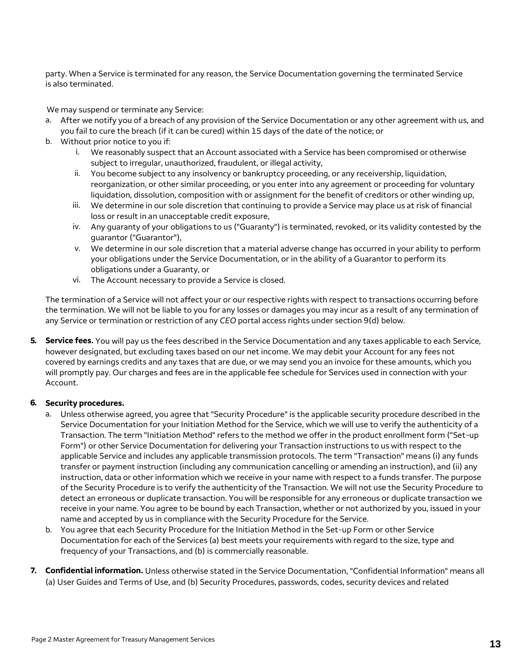party. When a Service is terminated for any reason, the Service Documentation governing the terminated Service is also terminated.

We may suspend or terminate any Service:

- a. After we notify you of a breach of any provision of the Service Documentation or any other agreement with us, and you fail to cure the breach (if it can be cured) within 15 days of the date of the notice; or
- b. Without prior notice to you if:
	- i. We reasonably suspect that an Account associated with a Service has been compromised or otherwise subject to irregular, unauthorized, fraudulent, or illegal activity,
	- ii. You become subject to any insolvency or bankruptcy proceeding, or any receivership, liquidation, reorganization, or other similar proceeding, or you enter into any agreement or proceeding for voluntary liquidation, dissolution, composition with or assignment for the benefit of creditors or other winding up,
	- iii. We determine in our sole discretion that continuing to provide a Service may place us at risk of financial loss or result in an unacceptable credit exposure,
	- iv. Any guaranty of your obligations to us ("Guaranty") is terminated, revoked, or its validity contested by the guarantor ("Guarantor"),
	- v. We determine in our sole discretion that a material adverse change has occurred in your ability to perform your obligations under the Service Documentation, or in the ability of a Guarantor to perform its obligations under a Guaranty, or
	- vi. The Account necessary to provide a Service is closed.

The termination of a Service will not affect your or our respective rights with respect to transactions occurring before the termination. We will not be liable to you for any losses or damages you may incur as a result of any termination of any Service or termination or restriction of any *CEO* portal access rights under section 9(d) below.

**5. Service fees.** You will pay us the fees described in the Service Documentation and any taxes applicable to each Service, however designated, but excluding taxes based on our net income. We may debit your Account for any fees not covered by earnings credits and any taxes that are due, or we may send you an invoice for these amounts, which you will promptly pay. Our charges and fees are in the applicable fee schedule for Services used in connection with your Account.

#### **6. Security procedures.**

- a. Unless otherwise agreed, you agree that "Security Procedure" is the applicable security procedure described in the Service Documentation for your Initiation Method for the Service, which we will use to verify the authenticity of a Transaction. The term "Initiation Method" refers to the method we offer in the product enrollment form ("Set-up Form") or other Service Documentation for delivering your Transaction instructions to us with respect to the applicable Service and includes any applicable transmission protocols. The term "Transaction" means (i) any funds transfer or payment instruction (including any communication cancelling or amending an instruction), and (ii) any instruction, data or other information which we receive in your name with respect to a funds transfer. The purpose of the Security Procedure is to verify the authenticity of the Transaction. We will not use the Security Procedure to detect an erroneous or duplicate transaction. You will be responsible for any erroneous or duplicate transaction we receive in your name. You agree to be bound by each Transaction, whether or not authorized by you, issued in your name and accepted by us in compliance with the Security Procedure for the Service.
- b. You agree that each Security Procedure for the Initiation Method in the Set-up Form or other Service Documentation for each of the Services (a) best meets your requirements with regard to the size, type and frequency of your Transactions, and (b) is commercially reasonable.
- **7. Confidential information.** Unless otherwise stated in the Service Documentation, "Confidential Information" means all (a) User Guides and Terms of Use, and (b) Security Procedures, passwords, codes, security devices and related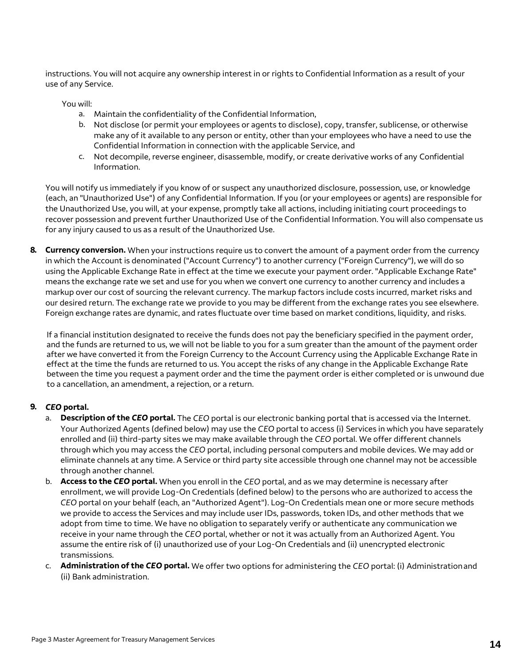instructions. You will not acquire any ownership interest in or rights to Confidential Information as a result of your use of any Service.

You will:

- a. Maintain the confidentiality of the Confidential Information,
- b. Not disclose (or permit your employees or agents to disclose), copy, transfer, sublicense, or otherwise make any of it available to any person or entity, other than your employees who have a need to use the Confidential Information in connection with the applicable Service, and
- c. Not decompile, reverse engineer, disassemble, modify, or create derivative works of any Confidential Information.

You will notify us immediately if you know of or suspect any unauthorized disclosure, possession, use, or knowledge (each, an "Unauthorized Use") of any Confidential Information. If you (or your employees or agents) are responsible for the Unauthorized Use, you will, at your expense, promptly take all actions, including initiating court proceedings to recover possession and prevent further Unauthorized Use of the Confidential Information. You will also compensate us for any injury caused to us as a result of the Unauthorized Use.

**8. Currency conversion.** When your instructions require us to convert the amount of a payment order from the currency in which the Account is denominated ("Account Currency") to another currency ("Foreign Currency"), we will do so using the Applicable Exchange Rate in effect at the time we execute your payment order. "Applicable Exchange Rate" means the exchange rate we set and use for you when we convert one currency to another currency and includes a markup over our cost of sourcing the relevant currency. The markup factors include costs incurred, market risks and our desired return. The exchange rate we provide to you may be different from the exchange rates you see elsewhere. Foreign exchange rates are dynamic, and rates fluctuate over time based on market conditions, liquidity, and risks.

If a financial institution designated to receive the funds does not pay the beneficiary specified in the payment order, and the funds are returned to us, we will not be liable to you for a sum greater than the amount of the payment order after we have converted it from the Foreign Currency to the Account Currency using the Applicable Exchange Rate in effect at the time the funds are returned to us. You accept the risks of any change in the Applicable Exchange Rate between the time you request a payment order and the time the payment order is either completed or is unwound due to a cancellation, an amendment, a rejection, or a return.

#### **9.** *CEO* **portal.**

- a. **Description of the** *CEO* **portal.** The *CEO* portal is our electronic banking portal that is accessed via the Internet. Your Authorized Agents (defined below) may use the *CEO* portal to access (i) Services in which you have separately enrolled and (ii) third-party sites we may make available through the *CEO* portal. We offer different channels through which you may access the *CEO* portal, including personal computers and mobile devices. We may add or eliminate channels at any time. A Service or third party site accessible through one channel may not be accessible through another channel.
- b. **Access to the** *CEO* **portal.** When you enroll in the *CEO* portal, and as we may determine is necessary after enrollment, we will provide Log-On Credentials (defined below) to the persons who are authorized to access the *CEO* portal on your behalf (each, an "Authorized Agent"). Log-On Credentials mean one or more secure methods we provide to access the Services and may include user IDs, passwords, token IDs, and other methods that we adopt from time to time. We have no obligation to separately verify or authenticate any communication we receive in your name through the *CEO* portal, whether or not it was actually from an Authorized Agent. You assume the entire risk of (i) unauthorized use of your Log-On Credentials and (ii) unencrypted electronic transmissions.
- c. **Administration of the** *CEO* **portal.** We offer two options for administering the *CEO* portal: (i) Administrationand (ii) Bank administration.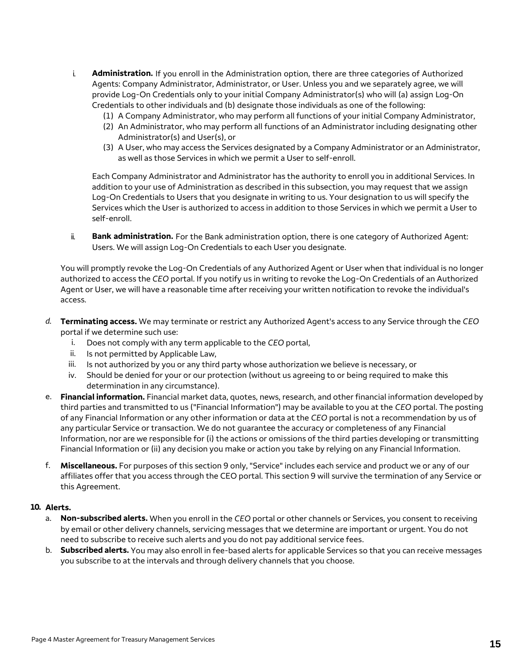- i. **Administration.** If you enroll in the Administration option, there are three categories of Authorized Agents: Company Administrator, Administrator, or User. Unless you and we separately agree, we will provide Log-On Credentials only to your initial Company Administrator(s) who will (a) assign Log-On Credentials to other individuals and (b) designate those individuals as one of the following:
	- (1) A Company Administrator, who may perform all functions of your initial Company Administrator,
	- (2) An Administrator, who may perform all functions of an Administrator including designating other Administrator(s) and User(s), or
	- (3) A User, who may access the Services designated by a Company Administrator or an Administrator, as well as those Services in which we permit a User to self-enroll.

Each Company Administrator and Administrator has the authority to enroll you in additional Services. In addition to your use of Administration as described in this subsection, you may request that we assign Log-On Credentials to Users that you designate in writing to us. Your designation to us will specify the Services which the User is authorized to access in addition to those Services in which we permit a User to self-enroll.

ii. **Bank administration.** For the Bank administration option, there is one category of Authorized Agent: Users. We will assign Log-On Credentials to each User you designate.

You will promptly revoke the Log-On Credentials of any Authorized Agent or User when that individual is no longer authorized to access the *CEO* portal. If you notify us in writing to revoke the Log-On Credentials of an Authorized Agent or User, we will have a reasonable time after receiving your written notification to revoke the individual's access.

- *d.* **Terminating access.** We may terminate or restrict any Authorized Agent's access to any Service through the *CEO* portal if we determine such use:
	- i. Does not comply with any term applicable to the *CEO* portal,
	- ii. Is not permitted by Applicable Law,
	- iii. Is not authorized by you or any third party whose authorization we believe is necessary, or
	- iv. Should be denied for your or our protection (without us agreeing to or being required to make this determination in any circumstance).
- e. **Financial information.** Financial market data, quotes, news, research, and other financial information developed by third parties and transmitted to us ("Financial Information") may be available to you at the *CEO* portal. The posting of any Financial Information or any other information or data at the *CEO* portal is not a recommendation by us of any particular Service or transaction. We do not guarantee the accuracy or completeness of any Financial Information, nor are we responsible for (i) the actions or omissions of the third parties developing or transmitting Financial Information or (ii) any decision you make or action you take by relying on any Financial Information.
- f. **Miscellaneous.** For purposes of this section 9 only, "Service" includes each service and product we or any of our affiliates offer that you access through the CEO portal. This section 9 will survive the termination of any Service or this Agreement.

#### **10. Alerts.**

- a. **Non-subscribed alerts.** When you enroll in the *CEO* portal or other channels or Services, you consent to receiving by email or other delivery channels, servicing messages that we determine are important or urgent. You do not need to subscribe to receive such alerts and you do not pay additional service fees.
- b. **Subscribed alerts.** You may also enroll in fee-based alerts for applicable Services so that you can receive messages you subscribe to at the intervals and through delivery channels that you choose.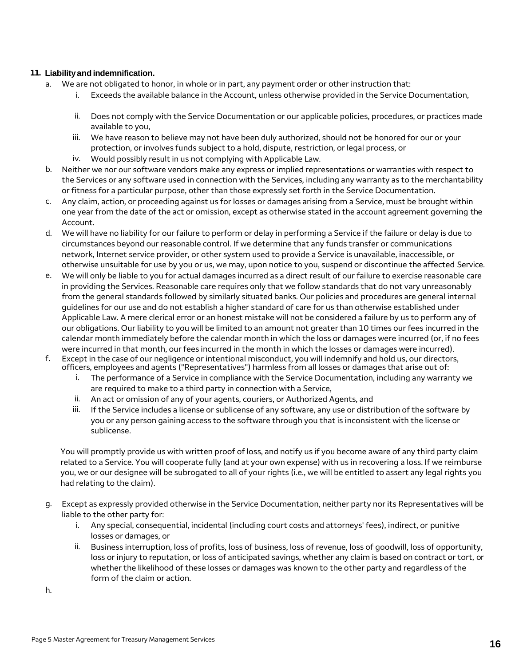#### **11. Liabilityandindemnification.**

- a. We are not obligated to honor, in whole or in part, any payment order or other instruction that:
	- i. Exceeds the available balance in the Account, unless otherwise provided in the Service Documentation,
	- ii. Does not comply with the Service Documentation or our applicable policies, procedures, or practices made available to you,
	- iii. We have reason to believe may not have been duly authorized, should not be honored for our or your protection, or involves funds subject to a hold, dispute, restriction, or legal process, or
	- iv. Would possibly result in us not complying with Applicable Law.
- b. Neither we nor our software vendors make any express or implied representations or warranties with respect to the Services or any software used in connection with the Services, including any warranty as to the merchantability or fitness for a particular purpose, other than those expressly set forth in the Service Documentation.
- c. Any claim, action, or proceeding against us for losses or damages arising from a Service, must be brought within one year from the date of the act or omission, except as otherwise stated in the account agreement governing the Account.
- d. We will have no liability for our failure to perform or delay in performing a Service if the failure or delay is due to circumstances beyond our reasonable control. If we determine that any funds transfer or communications network, Internet service provider, or other system used to provide a Service is unavailable, inaccessible, or otherwise unsuitable for use by you or us, we may, upon notice to you, suspend or discontinue the affected Service.
- e. We will only be liable to you for actual damages incurred as a direct result of our failure to exercise reasonable care in providing the Services. Reasonable care requires only that we follow standards that do not vary unreasonably from the general standards followed by similarly situated banks. Our policies and procedures are general internal guidelines for our use and do not establish a higher standard of care for us than otherwise established under Applicable Law. A mere clerical error or an honest mistake will not be considered a failure by us to perform any of our obligations. Our liability to you will be limited to an amount not greater than 10 times our fees incurred in the calendar month immediately before the calendar month in which the loss or damages were incurred (or, if no fees were incurred in that month, our fees incurred in the month in which the losses or damages were incurred).
- f. Except in the case of our negligence or intentional misconduct, you will indemnify and hold us, our directors, officers, employees and agents ("Representatives") harmless from all losses or damages that arise out of:
	- i. The performance of a Service in compliance with the Service Documentation, including any warranty we are required to make to a third party in connection with a Service,
	- ii. An act or omission of any of your agents, couriers, or Authorized Agents, and
	- iii. If the Service includes a license or sublicense of any software, any use or distribution of the software by you or any person gaining access to the software through you that is inconsistent with the license or sublicense.

You will promptly provide us with written proof of loss, and notify us if you become aware of any third party claim related to a Service. You will cooperate fully (and at your own expense) with us in recovering a loss. If we reimburse you, we or our designee will be subrogated to all of your rights (i.e., we will be entitled to assert any legal rights you had relating to the claim).

- g. Except as expressly provided otherwise in the Service Documentation, neither party nor its Representatives will be liable to the other party for:
	- i. Any special, consequential, incidental (including court costs and attorneys' fees), indirect, or punitive losses or damages, or
	- ii. Business interruption, loss of profits, loss of business, loss of revenue, loss of goodwill, loss of opportunity, loss or injury to reputation, or loss of anticipated savings, whether any claim is based on contract or tort, or whether the likelihood of these losses or damages was known to the other party and regardless of the form of the claim or action.

h.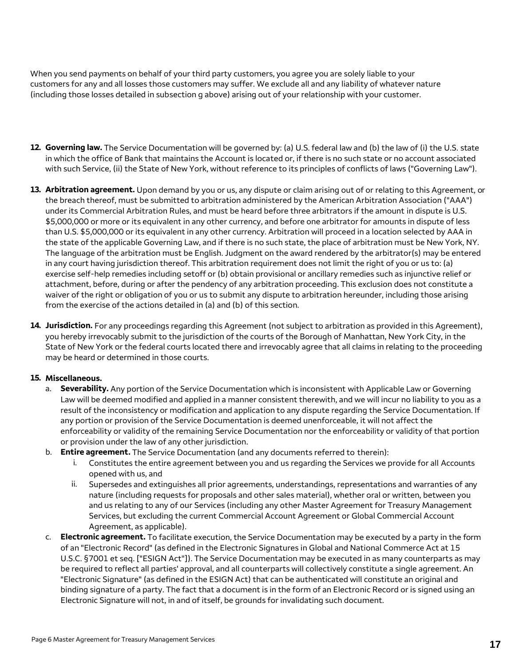When you send payments on behalf of your third party customers, you agree you are solely liable to your customers for any and all losses those customers may suffer. We exclude all and any liability of whatever nature (including those losses detailed in subsection g above) arising out of your relationship with your customer.

- **12. Governing law.** The Service Documentation will be governed by: (a) U.S. federal law and (b) the law of (i) the U.S. state in which the office of Bank that maintains the Account is located or, if there is no such state or no account associated with such Service, (ii) the State of New York, without reference to its principles of conflicts of laws ("Governing Law").
- **13. Arbitration agreement.** Upon demand by you or us, any dispute or claim arising out of or relating to this Agreement, or the breach thereof, must be submitted to arbitration administered by the American Arbitration Association ("AAA") under its Commercial Arbitration Rules, and must be heard before three arbitrators if the amount in dispute is U.S. \$5,000,000 or more or its equivalent in any other currency, and before one arbitrator for amounts in dispute of less than U.S. \$5,000,000 or its equivalent in any other currency. Arbitration will proceed in a location selected by AAA in the state of the applicable Governing Law, and if there is no such state, the place of arbitration must be New York, NY. The language of the arbitration must be English. Judgment on the award rendered by the arbitrator(s) may be entered in any court having jurisdiction thereof. This arbitration requirement does not limit the right of you or us to: (a) exercise self-help remedies including setoff or (b) obtain provisional or ancillary remedies such as injunctive relief or attachment, before, during or after the pendency of any arbitration proceeding. This exclusion does not constitute a waiver of the right or obligation of you or us to submit any dispute to arbitration hereunder, including those arising from the exercise of the actions detailed in (a) and (b) of this section.
- **14. Jurisdiction.** For any proceedings regarding this Agreement (not subject to arbitration as provided in this Agreement), you hereby irrevocably submit to the jurisdiction of the courts of the Borough of Manhattan, New York City, in the State of New York or the federal courts located there and irrevocably agree that all claims in relating to the proceeding may be heard or determined in those courts.

#### **15. Miscellaneous.**

- a. **Severability.** Any portion of the Service Documentation which is inconsistent with Applicable Law or Governing Law will be deemed modified and applied in a manner consistent therewith, and we will incur no liability to you as a result of the inconsistency or modification and application to any dispute regarding the Service Documentation. If any portion or provision of the Service Documentation is deemed unenforceable, it will not affect the enforceability or validity of the remaining Service Documentation nor the enforceability or validity of that portion or provision under the law of any other jurisdiction.
- b. **Entire agreement.** The Service Documentation (and any documents referred to therein):
	- i. Constitutes the entire agreement between you and us regarding the Services we provide for all Accounts opened with us, and
	- ii. Supersedes and extinguishes all prior agreements, understandings, representations and warranties of any nature (including requests for proposals and other sales material), whether oral or written, between you and us relating to any of our Services (including any other Master Agreement for Treasury Management Services, but excluding the current Commercial Account Agreement or Global Commercial Account Agreement, as applicable).
- c. **Electronic agreement.** To facilitate execution, the Service Documentation may be executed by a party in the form of an "Electronic Record" (as defined in the Electronic Signatures in Global and National Commerce Act at 15 U.S.C. §7001 et seq. ["ESIGN Act"]). The Service Documentation may be executed in as many counterparts as may be required to reflect all parties' approval, and all counterparts will collectively constitute a single agreement. An "Electronic Signature" (as defined in the ESIGN Act) that can be authenticated will constitute an original and binding signature of a party. The fact that a document is in the form of an Electronic Record or is signed using an Electronic Signature will not, in and of itself, be grounds for invalidating such document.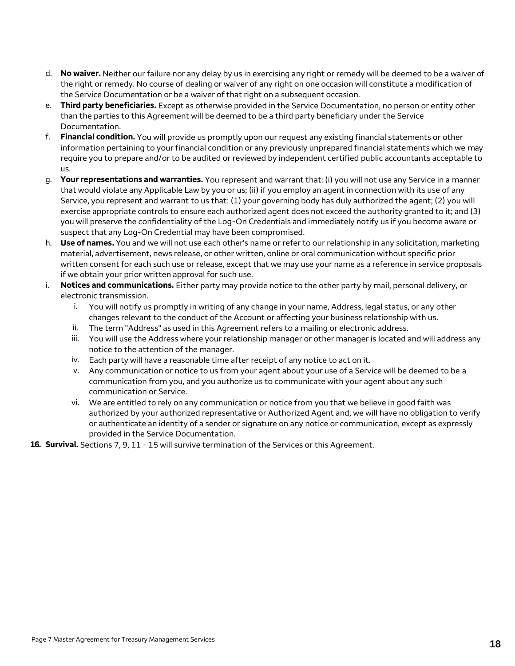- d. **No waiver.** Neither our failure nor any delay by us in exercising any right or remedy will be deemed to be a waiver of the right or remedy. No course of dealing or waiver of any right on one occasion will constitute a modification of the Service Documentation or be a waiver of that right on a subsequent occasion.
- e. **Third party beneficiaries.** Except as otherwise provided in the Service Documentation, no person or entity other than the parties to this Agreement will be deemed to be a third party beneficiary under the Service Documentation.
- f. **Financial condition.** You will provide us promptly upon our request any existing financial statements or other information pertaining to your financial condition or any previously unprepared financial statements which we may require you to prepare and/or to be audited or reviewed by independent certified public accountants acceptable to us.
- g. **Your representations and warranties.** You represent and warrant that: (i) you will not use any Service in a manner that would violate any Applicable Law by you or us; (ii) if you employ an agent in connection with its use of any Service, you represent and warrant to us that: (1) your governing body has duly authorized the agent; (2) you will exercise appropriate controls to ensure each authorized agent does not exceed the authority granted to it; and (3) you will preserve the confidentiality of the Log-On Credentials and immediately notify us if you become aware or suspect that any Log-On Credential may have been compromised.
- h. **Use of names.** You and we will not use each other's name or refer to our relationship in any solicitation, marketing material, advertisement, news release, or other written, online or oral communication without specific prior written consent for each such use or release, except that we may use your name as a reference in service proposals if we obtain your prior written approval for such use.
- i. **Notices and communications.** Either party may provide notice to the other party by mail, personal delivery, or electronic transmission.
	- i. You will notify us promptly in writing of any change in your name, Address, legal status, or any other changes relevant to the conduct of the Account or affecting your business relationship with us.
	- ii. The term "Address" as used in this Agreement refers to a mailing or electronic address.
	- iii. You will use the Address where your relationship manager or other manager is located and will address any notice to the attention of the manager.
	- iv. Each party will have a reasonable time after receipt of any notice to act on it.
	- v. Any communication or notice to us from your agent about your use of a Service will be deemed to be a communication from you, and you authorize us to communicate with your agent about any such communication or Service.
	- vi. We are entitled to rely on any communication or notice from you that we believe in good faith was authorized by your authorized representative or Authorized Agent and, we will have no obligation to verify or authenticate an identity of a sender or signature on any notice or communication, except as expressly provided in the Service Documentation.
- **16. Survival.** Sections 7, 9, 11 15 will survive termination of the Services or this Agreement.